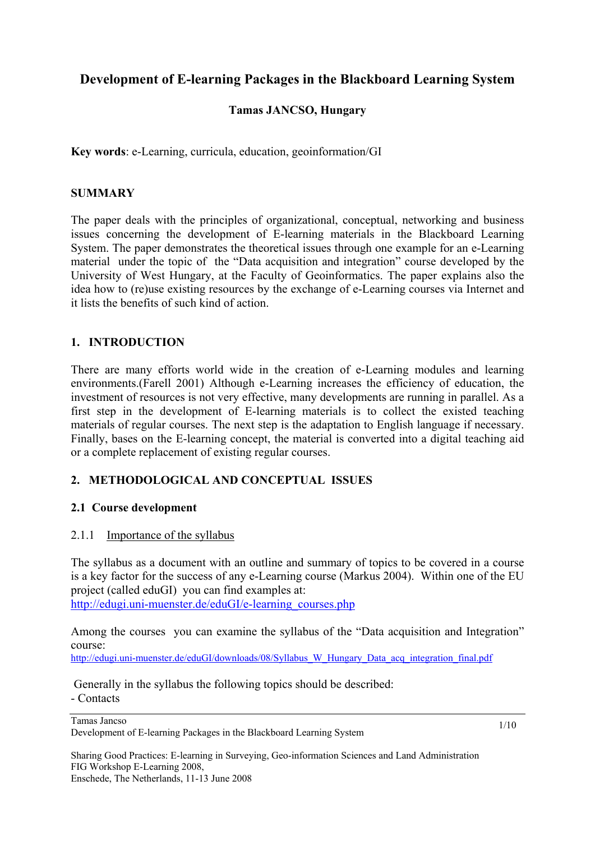# **Development of E-learning Packages in the Blackboard Learning System**

## **Tamas JANCSO, Hungary**

**Key words**: e-Learning, curricula, education, geoinformation/GI

#### **SUMMARY**

The paper deals with the principles of organizational, conceptual, networking and business issues concerning the development of E-learning materials in the Blackboard Learning System. The paper demonstrates the theoretical issues through one example for an e-Learning material under the topic of the "Data acquisition and integration" course developed by the University of West Hungary, at the Faculty of Geoinformatics. The paper explains also the idea how to (re)use existing resources by the exchange of e-Learning courses via Internet and it lists the benefits of such kind of action.

## **1. INTRODUCTION**

There are many efforts world wide in the creation of e-Learning modules and learning environments.(Farell 2001) Although e-Learning increases the efficiency of education, the investment of resources is not very effective, many developments are running in parallel. As a first step in the development of E-learning materials is to collect the existed teaching materials of regular courses. The next step is the adaptation to English language if necessary. Finally, bases on the E-learning concept, the material is converted into a digital teaching aid or a complete replacement of existing regular courses.

## **2. METHODOLOGICAL AND CONCEPTUAL ISSUES**

## **2.1 Course development**

#### 2.1.1 Importance of the syllabus

The syllabus as a document with an outline and summary of topics to be covered in a course is a key factor for the success of any e-Learning course (Markus 2004). Within one of the EU project (called eduGI) you can find examples at: [http://edugi.uni-muenster.de/eduGI/e-learning\\_courses.php](http://edugi.uni-muenster.de/eduGI/e-learning_courses.php)

Among the courses you can examine the syllabus of the "Data acquisition and Integration"

course: [http://edugi.uni-muenster.de/eduGI/downloads/08/Syllabus\\_W\\_Hungary\\_Data\\_acq\\_integration\\_final.pdf](http://edugi.uni-muenster.de/eduGI/downloads/08/Syllabus_W_Hungary_Data_acq_integration_final.pdf)

 Generally in the syllabus the following topics should be described: - Contacts

Tamas Jancso

Development of E-learning Packages in the Blackboard Learning System

1/10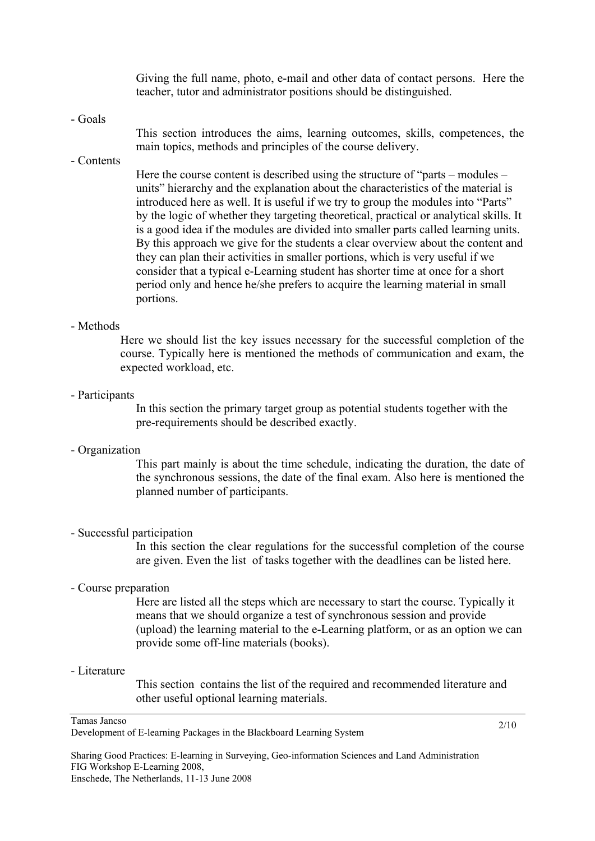Giving the full name, photo, e-mail and other data of contact persons. Here the teacher, tutor and administrator positions should be distinguished.

- Goals

This section introduces the aims, learning outcomes, skills, competences, the main topics, methods and principles of the course delivery.

#### - Contents

Here the course content is described using the structure of "parts – modules – units" hierarchy and the explanation about the characteristics of the material is introduced here as well. It is useful if we try to group the modules into "Parts" by the logic of whether they targeting theoretical, practical or analytical skills. It is a good idea if the modules are divided into smaller parts called learning units. By this approach we give for the students a clear overview about the content and they can plan their activities in smaller portions, which is very useful if we consider that a typical e-Learning student has shorter time at once for a short period only and hence he/she prefers to acquire the learning material in small portions.

#### - Methods

Here we should list the key issues necessary for the successful completion of the course. Typically here is mentioned the methods of communication and exam, the expected workload, etc.

#### - Participants

In this section the primary target group as potential students together with the pre-requirements should be described exactly.

#### - Organization

This part mainly is about the time schedule, indicating the duration, the date of the synchronous sessions, the date of the final exam. Also here is mentioned the planned number of participants.

#### - Successful participation

In this section the clear regulations for the successful completion of the course are given. Even the list of tasks together with the deadlines can be listed here.

#### - Course preparation

Here are listed all the steps which are necessary to start the course. Typically it means that we should organize a test of synchronous session and provide (upload) the learning material to the e-Learning platform, or as an option we can provide some off-line materials (books).

#### - Literature

This section contains the list of the required and recommended literature and other useful optional learning materials.

Tamas Jancso

Development of E-learning Packages in the Blackboard Learning System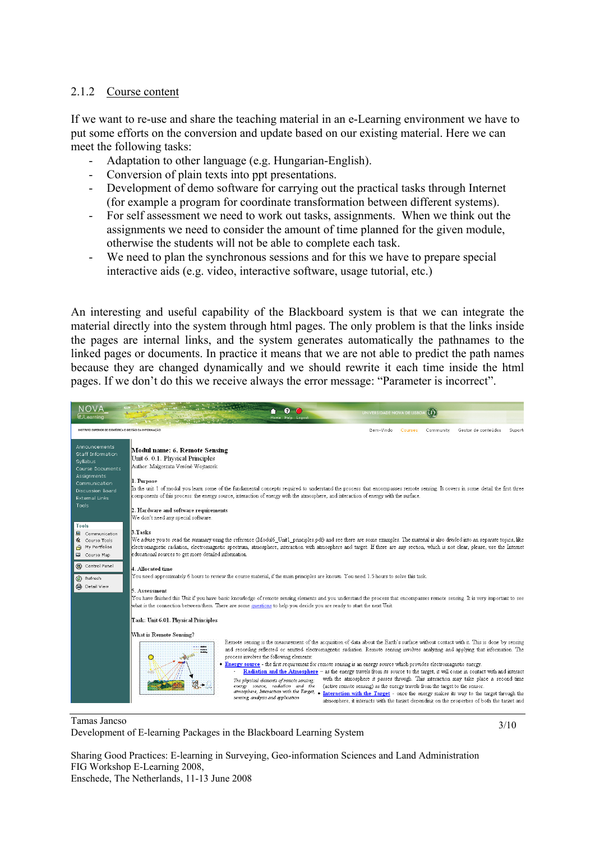#### 2.1.2 Course content

If we want to re-use and share the teaching material in an e-Learning environment we have to put some efforts on the conversion and update based on our existing material. Here we can meet the following tasks:

- Adaptation to other language (e.g. Hungarian-English).
- Conversion of plain texts into ppt presentations.
- Development of demo software for carrying out the practical tasks through Internet (for example a program for coordinate transformation between different systems).
- For self assessment we need to work out tasks, assignments. When we think out the assignments we need to consider the amount of time planned for the given module, otherwise the students will not be able to complete each task.
- We need to plan the synchronous sessions and for this we have to prepare special interactive aids (e.g. video, interactive software, usage tutorial, etc.)

An interesting and useful capability of the Blackboard system is that we can integrate the material directly into the system through html pages. The only problem is that the links inside the pages are internal links, and the system generates automatically the pathnames to the linked pages or documents. In practice it means that we are not able to predict the path names because they are changed dynamically and we should rewrite it each time inside the html pages. If we don't do this we receive always the error message: "Parameter is incorrect".

| eJLearning                                                                               | Home Help Logout                                                                                                                                                                                                                                                                                                                                                                                                                                                                                                                                                                                                                                                                                                                                                                | <b>UNIVERSIDADE NOVA DE LISBO.</b>                                           |                |           |                                                                                                                                                                                                                                                                              |        |  |  |
|------------------------------------------------------------------------------------------|---------------------------------------------------------------------------------------------------------------------------------------------------------------------------------------------------------------------------------------------------------------------------------------------------------------------------------------------------------------------------------------------------------------------------------------------------------------------------------------------------------------------------------------------------------------------------------------------------------------------------------------------------------------------------------------------------------------------------------------------------------------------------------|------------------------------------------------------------------------------|----------------|-----------|------------------------------------------------------------------------------------------------------------------------------------------------------------------------------------------------------------------------------------------------------------------------------|--------|--|--|
| INSTITUTO SUPERIOR DE ESTATÍSTICA E GESTÃO DA INFORMAÇÃO                                 |                                                                                                                                                                                                                                                                                                                                                                                                                                                                                                                                                                                                                                                                                                                                                                                 | Bem-Vindo                                                                    | <b>Courses</b> | Community | Gestor de conteúdos                                                                                                                                                                                                                                                          | Suport |  |  |
| Announcements<br><b>Staff Information</b><br>Syllabus<br>Course Documents<br>Assignments | Modul name: 6. Remote Sensing<br>Unit 6. 0.1. Physical Principles<br>Author: Małgorzata Verőné Wojtaszek                                                                                                                                                                                                                                                                                                                                                                                                                                                                                                                                                                                                                                                                        |                                                                              |                |           |                                                                                                                                                                                                                                                                              |        |  |  |
| Communication<br>Discussion Board<br><b>External Links</b>                               | 1. Purpose<br>In the unit 1 of modul you learn some of the fundamental concepts required to understand the process that encompasses remote sensing. It covers in some detail the first three<br>components of this process: the energy source, interaction of energy with the atmosphere, and interaction of energy with the surface.                                                                                                                                                                                                                                                                                                                                                                                                                                           |                                                                              |                |           |                                                                                                                                                                                                                                                                              |        |  |  |
| Tools                                                                                    | 2. Hardware and software requirements<br>We don't need any special software.                                                                                                                                                                                                                                                                                                                                                                                                                                                                                                                                                                                                                                                                                                    |                                                                              |                |           |                                                                                                                                                                                                                                                                              |        |  |  |
| Tools<br>鳳<br>Communication<br>Course Tools<br>My Portfolios<br><b>Q</b> Course Map      | $3. T$ asks<br>We advise you to read the summary using the reference (Modul6 Unit1 principles.pdf) and see there are some examples. The material is also divided into an separate topics, like<br>electromagnetic radiation, electromagnetic spectrum, atmosphere, interaction with atmosphere and target. If there are any section, which is not clear, please, use the Internet<br>educational sources to get more detailed information.                                                                                                                                                                                                                                                                                                                                      |                                                                              |                |           |                                                                                                                                                                                                                                                                              |        |  |  |
| Control Panel<br>Refresh                                                                 | 4. Allocated time<br>You need approximately 6 hours to review the course material, if the main principles are known. You need 1.5 hours to solve this task.                                                                                                                                                                                                                                                                                                                                                                                                                                                                                                                                                                                                                     |                                                                              |                |           |                                                                                                                                                                                                                                                                              |        |  |  |
| <b>@</b> Detail View                                                                     | 5. Assessment<br>You have finished this Unit if you have basic knowledge of remote sensing elements and you understand the process that encompasses remote sensing. It is very important to see<br>what is the connection between them. There are some questions to help you decide you are ready to start the next Unit.                                                                                                                                                                                                                                                                                                                                                                                                                                                       |                                                                              |                |           |                                                                                                                                                                                                                                                                              |        |  |  |
|                                                                                          | Task: Unit 6.01. Physical Principles                                                                                                                                                                                                                                                                                                                                                                                                                                                                                                                                                                                                                                                                                                                                            |                                                                              |                |           |                                                                                                                                                                                                                                                                              |        |  |  |
|                                                                                          | What is Remote Sensing?<br>Remote sensing is the measurement of the acquisition of data about the Earth's surface without contact with it. This is done by sensing<br>and recording reflected or emitted electromagnetic radiation. Remote sensing involves analyzing and applying that information. The<br>process involves the following elements:<br>• Energy source - the first requirement for remote sensing is an energy source which provides electromagnetic energy.<br>Radiation and the Atmosphere - as the energy travels from its source to the target, it will come in contact with and interact<br>The physical elements of remote sensing:<br>energy source, radiation and the<br>atmosphere, Interaction with the Target.<br>sensing, analysis and application | (active remote sensing) as the energy travels from the target to the sensor. |                |           | with the atmosphere it passes through. This interaction may take place a second time<br>Interaction with the Target - once the energy makes its way to the target through the<br>atmosphere, it interacts with the target depending on the properties of both the target and |        |  |  |

Tamas Jancso

Development of E-learning Packages in the Blackboard Learning System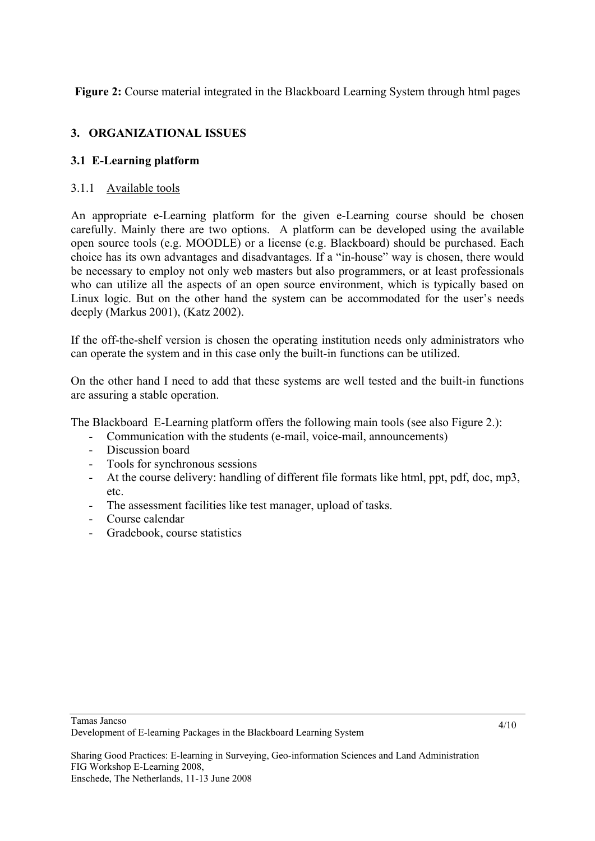**Figure 2:** Course material integrated in the Blackboard Learning System through html pages

## **3. ORGANIZATIONAL ISSUES**

## **3.1 E-Learning platform**

#### 3.1.1 Available tools

An appropriate e-Learning platform for the given e-Learning course should be chosen carefully. Mainly there are two options. A platform can be developed using the available open source tools (e.g. MOODLE) or a license (e.g. Blackboard) should be purchased. Each choice has its own advantages and disadvantages. If a "in-house" way is chosen, there would be necessary to employ not only web masters but also programmers, or at least professionals who can utilize all the aspects of an open source environment, which is typically based on Linux logic. But on the other hand the system can be accommodated for the user's needs deeply (Markus 2001), (Katz 2002).

If the off-the-shelf version is chosen the operating institution needs only administrators who can operate the system and in this case only the built-in functions can be utilized.

On the other hand I need to add that these systems are well tested and the built-in functions are assuring a stable operation.

The Blackboard E-Learning platform offers the following main tools (see also Figure 2.):

- Communication with the students (e-mail, voice-mail, announcements)
- Discussion board
- Tools for synchronous sessions
- At the course delivery: handling of different file formats like html, ppt, pdf, doc, mp3, etc.
- The assessment facilities like test manager, upload of tasks.
- Course calendar
- Gradebook, course statistics

Development of E-learning Packages in the Blackboard Learning System

4/10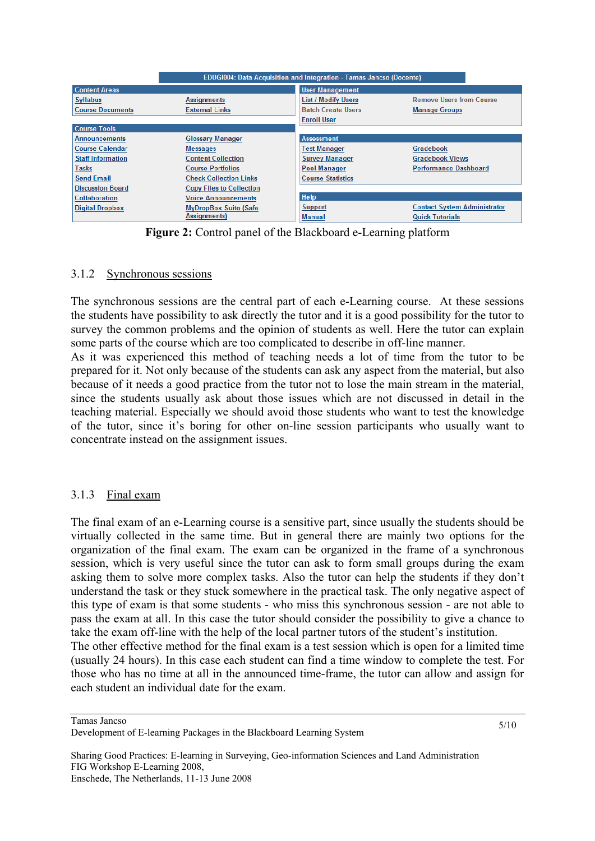|                          | EDUGI004: Data Acquisition and Integration - Tamas Jancso (Docente) |                            |                                     |  |  |  |
|--------------------------|---------------------------------------------------------------------|----------------------------|-------------------------------------|--|--|--|
| <b>Content Areas</b>     |                                                                     | <b>User Management</b>     |                                     |  |  |  |
| <b>Syllabus</b>          | <b>Assignments</b>                                                  | <b>List / Modify Users</b> | <b>Remove Users from Course</b>     |  |  |  |
| <b>Course Documents</b>  | <b>External Links</b>                                               | <b>Batch Create Users</b>  | <b>Manage Groups</b>                |  |  |  |
|                          |                                                                     | <b>Enroll User</b>         |                                     |  |  |  |
| <b>Course Tools</b>      |                                                                     |                            |                                     |  |  |  |
| <b>Announcements</b>     | <b>Glossary Manager</b>                                             | <b>Assessment</b>          |                                     |  |  |  |
| <b>Course Calendar</b>   | <b>Messages</b>                                                     | <b>Test Manager</b>        | <b>Gradebook</b>                    |  |  |  |
| <b>Staff Information</b> | <b>Content Collection</b>                                           | <b>Survey Manager</b>      | <b>Gradebook Views</b>              |  |  |  |
| <b>Tasks</b>             | <b>Course Portfolios</b>                                            | <b>Pool Manager</b>        | <b>Performance Dashboard</b>        |  |  |  |
| <b>Send Email</b>        | <b>Check Collection Links</b>                                       | <b>Course Statistics</b>   |                                     |  |  |  |
| <b>Discussion Board</b>  | <b>Copy Files to Collection</b>                                     |                            |                                     |  |  |  |
| <b>Collaboration</b>     | <b>Voice Announcements</b>                                          | <b>Help</b>                |                                     |  |  |  |
| <b>Digital Dropbox</b>   | <b>MyDropBox Suite (Safe)</b>                                       | <b>Support</b>             | <b>Contact System Administrator</b> |  |  |  |
|                          | <b>Assignments</b> )                                                | <b>Manual</b>              | <b>Quick Tutorials</b>              |  |  |  |

**Figure 2:** Control panel of the Blackboard e-Learning platform

## 3.1.2 Synchronous sessions

The synchronous sessions are the central part of each e-Learning course. At these sessions the students have possibility to ask directly the tutor and it is a good possibility for the tutor to survey the common problems and the opinion of students as well. Here the tutor can explain some parts of the course which are too complicated to describe in off-line manner.

As it was experienced this method of teaching needs a lot of time from the tutor to be prepared for it. Not only because of the students can ask any aspect from the material, but also because of it needs a good practice from the tutor not to lose the main stream in the material, since the students usually ask about those issues which are not discussed in detail in the teaching material. Especially we should avoid those students who want to test the knowledge of the tutor, since it's boring for other on-line session participants who usually want to concentrate instead on the assignment issues.

## 3.1.3 Final exam

The final exam of an e-Learning course is a sensitive part, since usually the students should be virtually collected in the same time. But in general there are mainly two options for the organization of the final exam. The exam can be organized in the frame of a synchronous session, which is very useful since the tutor can ask to form small groups during the exam asking them to solve more complex tasks. Also the tutor can help the students if they don't understand the task or they stuck somewhere in the practical task. The only negative aspect of this type of exam is that some students - who miss this synchronous session - are not able to pass the exam at all. In this case the tutor should consider the possibility to give a chance to take the exam off-line with the help of the local partner tutors of the student's institution. The other effective method for the final exam is a test session which is open for a limited time (usually 24 hours). In this case each student can find a time window to complete the test. For those who has no time at all in the announced time-frame, the tutor can allow and assign for each student an individual date for the exam.

Tamas Jancso

Development of E-learning Packages in the Blackboard Learning System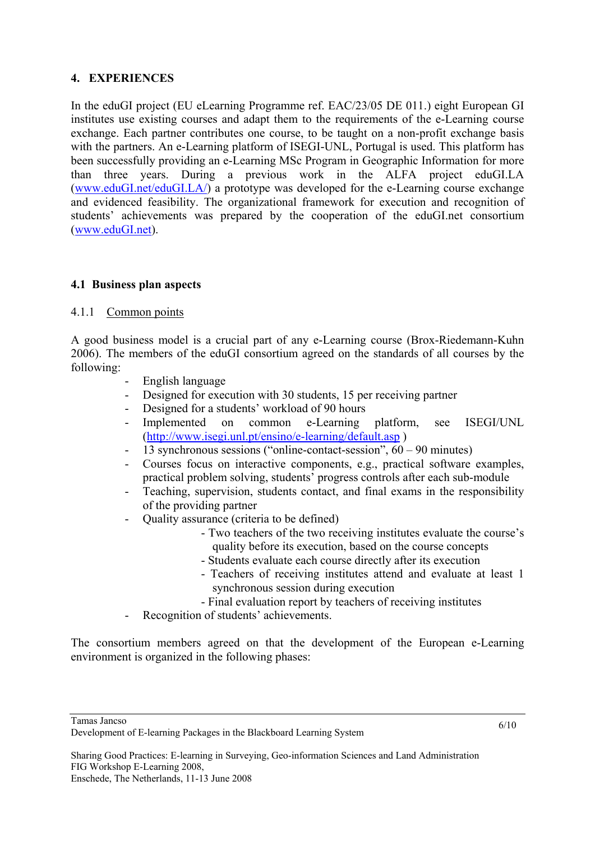## **4. EXPERIENCES**

In the eduGI project (EU eLearning Programme ref. EAC/23/05 DE 011.) eight European GI institutes use existing courses and adapt them to the requirements of the e-Learning course exchange. Each partner contributes one course, to be taught on a non-profit exchange basis with the partners. An e-Learning platform of ISEGI-UNL, Portugal is used. This platform has been successfully providing an e-Learning MSc Program in Geographic Information for more than three years. During a previous work in the ALFA project eduGI.LA ([www.eduGI.net/eduGI.LA/](http://www.edugi.net/eduGI.LA/)) a prototype was developed for the e-Learning course exchange and evidenced feasibility. The organizational framework for execution and recognition of students' achievements was prepared by the cooperation of the eduGI.net consortium ([www.eduGI.net\)](http://www.edugi.net/).

## **4.1 Business plan aspects**

## 4.1.1 Common points

A good business model is a crucial part of any e-Learning course (Brox-Riedemann-Kuhn 2006). The members of the eduGI consortium agreed on the standards of all courses by the following:

- English language
- Designed for execution with 30 students, 15 per receiving partner
- Designed for a students' workload of 90 hours
- Implemented on common e-Learning platform, see ISEGI/UNL (http://www.isegi.unl.pt/ensino/e-learning/default.asp )
- 13 synchronous sessions ("online-contact-session",  $60 90$  minutes)
- Courses focus on interactive components, e.g., practical software examples, practical problem solving, students' progress controls after each sub-module
- Teaching, supervision, students contact, and final exams in the responsibility of the providing partner
- Quality assurance (criteria to be defined)
	- Two teachers of the two receiving institutes evaluate the course's quality before its execution, based on the course concepts
	- Students evaluate each course directly after its execution
	- Teachers of receiving institutes attend and evaluate at least 1 synchronous session during execution
	- Final evaluation report by teachers of receiving institutes
- Recognition of students' achievements.

The consortium members agreed on that the development of the European e-Learning environment is organized in the following phases:

Tamas Jancso

6/10

Development of E-learning Packages in the Blackboard Learning System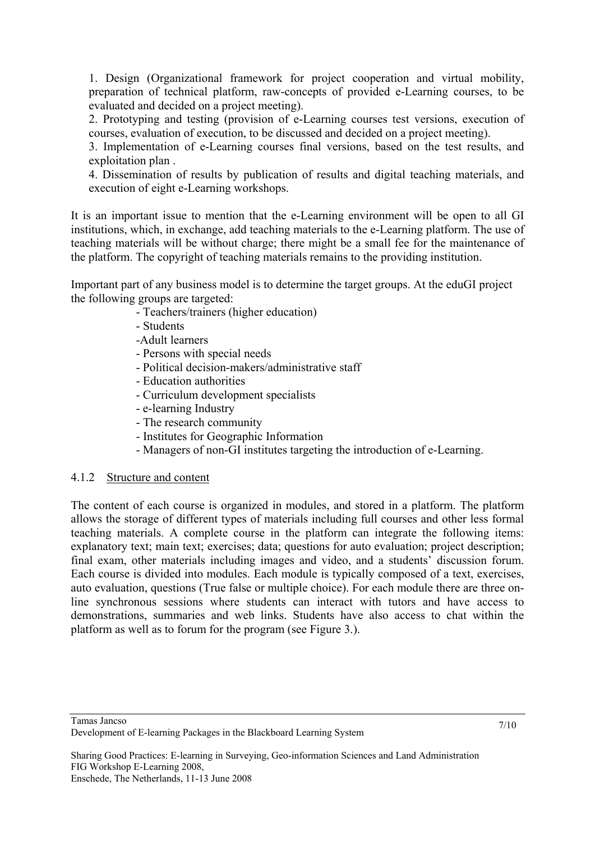1. Design (Organizational framework for project cooperation and virtual mobility, preparation of technical platform, raw-concepts of provided e-Learning courses, to be evaluated and decided on a project meeting).

2. Prototyping and testing (provision of e-Learning courses test versions, execution of courses, evaluation of execution, to be discussed and decided on a project meeting).

3. Implementation of e-Learning courses final versions, based on the test results, and exploitation plan .

4. Dissemination of results by publication of results and digital teaching materials, and execution of eight e-Learning workshops.

It is an important issue to mention that the e-Learning environment will be open to all GI institutions, which, in exchange, add teaching materials to the e-Learning platform. The use of teaching materials will be without charge; there might be a small fee for the maintenance of the platform. The copyright of teaching materials remains to the providing institution.

Important part of any business model is to determine the target groups. At the eduGI project the following groups are targeted:

- Teachers/trainers (higher education)
- Students
- -Adult learners
- Persons with special needs
- Political decision-makers/administrative staff
- Education authorities
- Curriculum development specialists
- e-learning Industry
- The research community
- Institutes for Geographic Information
- Managers of non-GI institutes targeting the introduction of e-Learning.

#### 4.1.2 Structure and content

The content of each course is organized in modules, and stored in a platform. The platform allows the storage of different types of materials including full courses and other less formal teaching materials. A complete course in the platform can integrate the following items: explanatory text; main text; exercises; data; questions for auto evaluation; project description; final exam, other materials including images and video, and a students' discussion forum. Each course is divided into modules. Each module is typically composed of a text, exercises, auto evaluation, questions (True false or multiple choice). For each module there are three online synchronous sessions where students can interact with tutors and have access to demonstrations, summaries and web links. Students have also access to chat within the platform as well as to forum for the program (see Figure 3.).

Tamas Jancso

Development of E-learning Packages in the Blackboard Learning System

7/10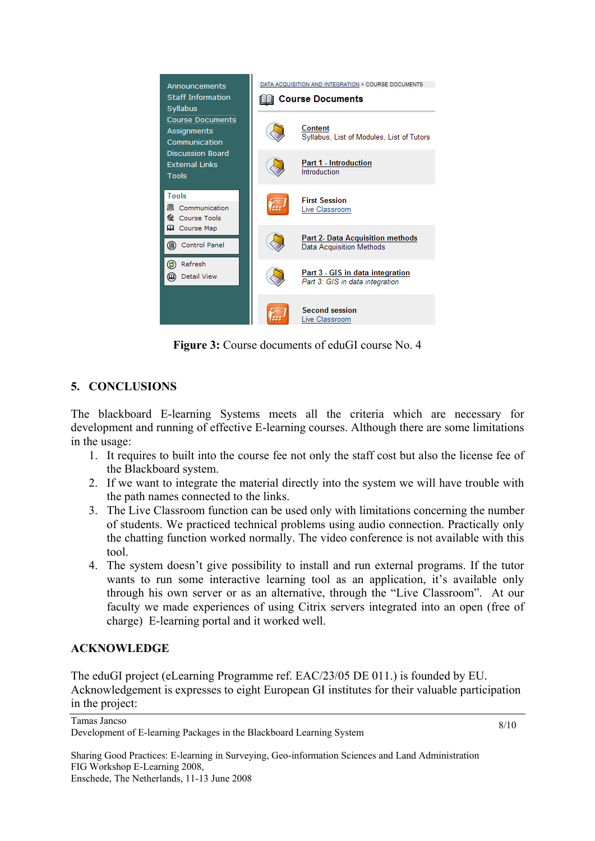

**Figure 3:** Course documents of eduGI course No. 4

## **5. CONCLUSIONS**

The blackboard E-learning Systems meets all the criteria which are necessary for development and running of effective E-learning courses. Although there are some limitations in the usage:

- 1. It requires to built into the course fee not only the staff cost but also the license fee of the Blackboard system.
- 2. If we want to integrate the material directly into the system we will have trouble with the path names connected to the links.
- 3. The Live Classroom function can be used only with limitations concerning the number of students. We practiced technical problems using audio connection. Practically only the chatting function worked normally. The video conference is not available with this tool.
- 4. The system doesn't give possibility to install and run external programs. If the tutor wants to run some interactive learning tool as an application, it's available only through his own server or as an alternative, through the "Live Classroom". At our faculty we made experiences of using Citrix servers integrated into an open (free of charge) E-learning portal and it worked well.

## **ACKNOWLEDGE**

The eduGI project (eLearning Programme ref. EAC/23/05 DE 011.) is founded by EU. Acknowledgement is expresses to eight European GI institutes for their valuable participation in the project:

Tamas Jancso Development of E-learning Packages in the Blackboard Learning System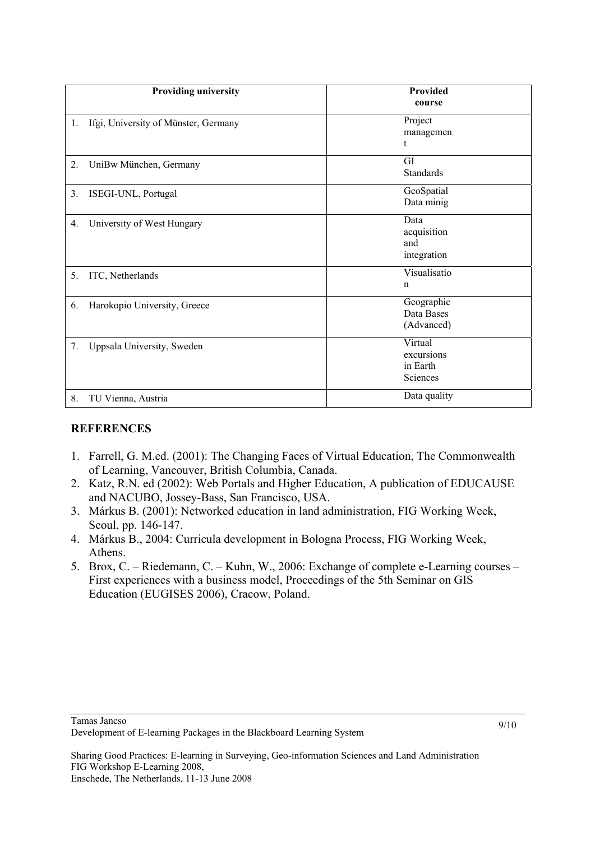| <b>Providing university</b>                |  | Provided                                      |  |  |
|--------------------------------------------|--|-----------------------------------------------|--|--|
| Ifgi, University of Münster, Germany<br>1. |  | course<br>Project<br>managemen<br>t           |  |  |
| 2.<br>UniBw München, Germany               |  | GI<br><b>Standards</b>                        |  |  |
| ISEGI-UNL, Portugal<br>3.                  |  | GeoSpatial<br>Data minig                      |  |  |
| University of West Hungary<br>4.           |  | Data<br>acquisition<br>and<br>integration     |  |  |
| 5.<br>ITC, Netherlands                     |  | Visualisatio<br>n                             |  |  |
| Harokopio University, Greece<br>6.         |  | Geographic<br>Data Bases<br>(Advanced)        |  |  |
| 7.<br>Uppsala University, Sweden           |  | Virtual<br>excursions<br>in Earth<br>Sciences |  |  |
| 8.<br>TU Vienna, Austria                   |  | Data quality                                  |  |  |

## **REFERENCES**

- 1. Farrell, G. M.ed. (2001): The Changing Faces of Virtual Education, The Commonwealth of Learning, Vancouver, British Columbia, Canada.
- 2. Katz, R.N. ed (2002): Web Portals and Higher Education, A publication of EDUCAUSE and NACUBO, Jossey-Bass, San Francisco, USA.
- 3. Márkus B. (2001): Networked education in land administration, FIG Working Week, Seoul, pp. 146-147.
- 4. Márkus B., 2004: Curricula development in Bologna Process, FIG Working Week, Athens.
- 5. Brox, C. Riedemann, C. Kuhn, W., 2006: Exchange of complete e-Learning courses First experiences with a business model, Proceedings of the 5th Seminar on GIS Education (EUGISES 2006), Cracow, Poland.

Development of E-learning Packages in the Blackboard Learning System